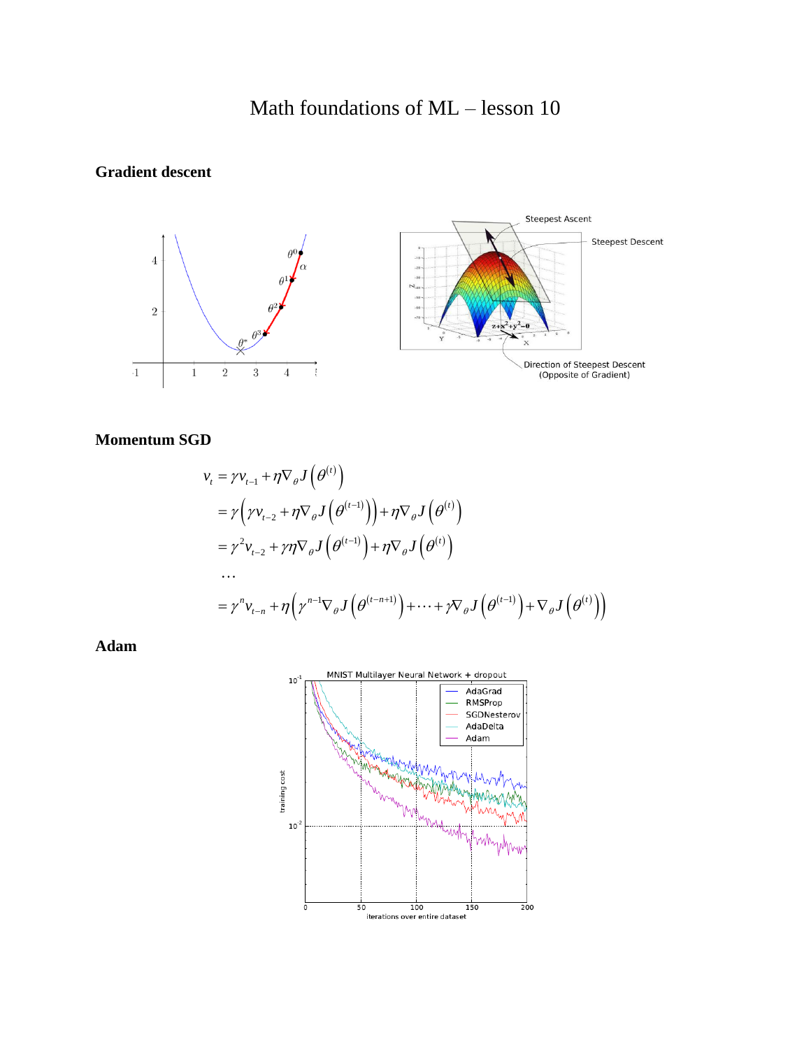# Math foundations of ML – lesson 10

## **Gradient descent**



### **Momentum SGD**

$$
\mathbf{D}
$$
\n
$$
v_{t} = \gamma v_{t-1} + \eta \nabla_{\theta} J(\theta^{(t)})
$$
\n
$$
= \gamma \left( \gamma v_{t-2} + \eta \nabla_{\theta} J(\theta^{(t-1)}) \right) + \eta \nabla_{\theta} J(\theta^{(t)})
$$
\n
$$
= \gamma^{2} v_{t-2} + \gamma \eta \nabla_{\theta} J(\theta^{(t-1)}) + \eta \nabla_{\theta} J(\theta^{(t)})
$$
\n
$$
\dots
$$
\n
$$
= \gamma^{n} v_{t-n} + \eta \left( \gamma^{n-1} \nabla_{\theta} J(\theta^{(t-n+1)}) + \dots + \gamma \nabla_{\theta} J(\theta^{(t-1)}) + \nabla_{\theta} J(\theta^{(t)}) \right)
$$

**Adam**

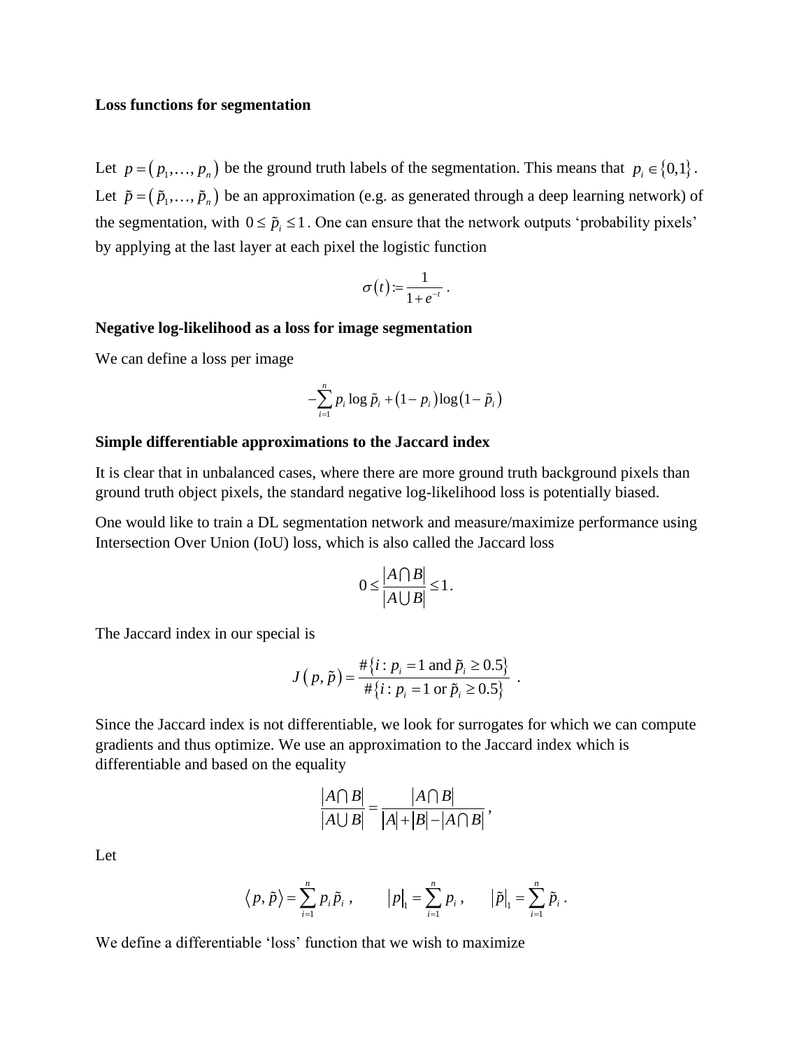#### **Loss functions for segmentation**

Let  $p = (p_1, ..., p_n)$  be the ground truth labels of the segmentation. This means that  $p_i \in \{0,1\}$ . Let  $\tilde{p} = (\tilde{p}_1, \ldots, \tilde{p}_n)$  be an approximation (e.g. as generated through a deep learning network) of the segmentation, with  $0 \leq \tilde{p}_i \leq 1$ . One can ensure that the network outputs 'probability pixels' by applying at the last layer at each pixel the logistic function

$$
\sigma(t) := \frac{1}{1+e^{-t}}.
$$

#### **Negative log-likelihood as a loss for image segmentation**

We can define a loss per image

$$
-\sum_{i=1}^n p_i \log \tilde{p}_i + (1-p_i) \log (1-\tilde{p}_i)
$$

#### **Simple differentiable approximations to the Jaccard index**

It is clear that in unbalanced cases, where there are more ground truth background pixels than ground truth object pixels, the standard negative log-likelihood loss is potentially biased.

One would like to train a DL segmentation network and measure/maximize performance using Intersection Over Union (IoU) loss, which is also called the Jaccard loss

$$
0 \leq \frac{|A \cap B|}{|A \cup B|} \leq 1.
$$

The Jaccard index in our special is

$$
J(p,\tilde{p}) = \frac{\#\{i : p_i = 1 \text{ and } \tilde{p}_i \ge 0.5\}}{\#\{i : p_i = 1 \text{ or } \tilde{p}_i \ge 0.5\}}.
$$

Since the Jaccard index is not differentiable, we look for surrogates for which we can compute gradients and thus optimize. We use an approximation to the Jaccard index which is differentiable and based on the equality

$$
\frac{|A \cap B|}{|A \cup B|} = \frac{|A \cap B|}{|A| + |B| - |A \cap B|},
$$

Let

$$
\langle p, \tilde{p} \rangle = \sum_{i=1}^{n} p_i \tilde{p}_i
$$
,  $|p|_1 = \sum_{i=1}^{n} p_i$ ,  $|\tilde{p}|_1 = \sum_{i=1}^{n} \tilde{p}_i$ .

We define a differentiable 'loss' function that we wish to maximize